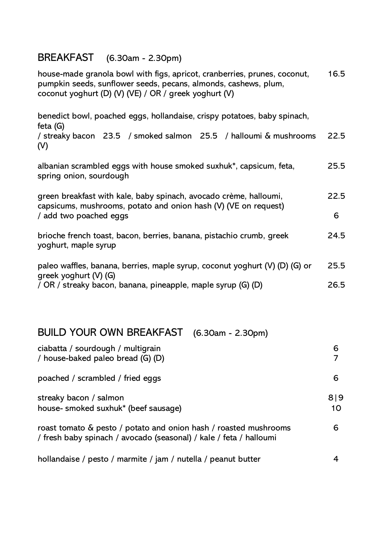## BREAKFAST (6.30am - 2.30pm)

house-made granola bowl with figs, apricot, cranberries, prunes, coconut, pumpkin seeds, sunflower seeds, pecans, almonds, cashews, plum, coconut yoghurt (D) (V) (VE) / OR / greek yoghurt (V) 16.5

benedict bowl, poached eggs, hollandaise, crispy potatoes, baby spinach, feta (G)

/ streaky bacon 23.5 / smoked salmon 25.5 / halloumi & mushrooms (V) 22.5

| albanian scrambled eggs with house smoked suxhuk*, capsicum, feta, | 25.5 |
|--------------------------------------------------------------------|------|
| spring onion, sourdough                                            |      |

| green breakfast with kale, baby spinach, avocado crème, halloumi, | 22.5 |
|-------------------------------------------------------------------|------|
| capsicums, mushrooms, potato and onion hash (V) (VE on request)   |      |
| / add two poached eggs                                            | 6    |

brioche french toast, bacon, berries, banana, pistachio crumb, greek yoghurt, maple syrup 24.5

| paleo waffles, banana, berries, maple syrup, coconut yoghurt (V) (D) (G) or | 25.5 |
|-----------------------------------------------------------------------------|------|
| greek yoghurt (V) (G)                                                       |      |
| / OR / streaky bacon, banana, pineapple, maple syrup (G) (D)                | 26.5 |

## BUILD YOUR OWN BREAKFAST (6.30am - 2.30pm)

| ciabatta / sourdough / multigrain<br>/ house-baked paleo bread (G) (D)                                                                 | 6         |
|----------------------------------------------------------------------------------------------------------------------------------------|-----------|
| poached / scrambled / fried eggs                                                                                                       | 6         |
| streaky bacon / salmon<br>house- smoked suxhuk* (beef sausage)                                                                         | 819<br>10 |
| roast tomato & pesto / potato and onion hash / roasted mushrooms<br>/ fresh baby spinach / avocado (seasonal) / kale / feta / halloumi | 6         |

hollandaise / pesto / marmite / jam / nutella / peanut butter 4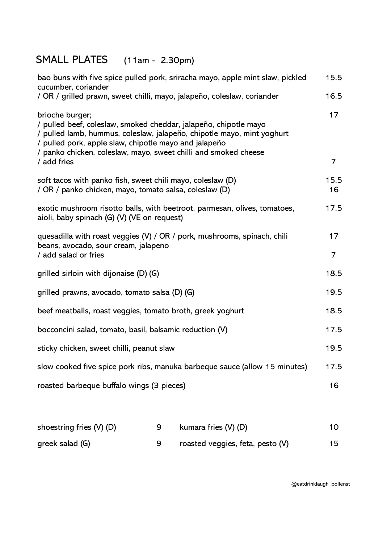## SMALL PLATES (11am - 2.30pm)

| bao buns with five spice pulled pork, sriracha mayo, apple mint slaw, pickled<br>cucumber, coriander                                                                                                                                                                                      | 15.5       |
|-------------------------------------------------------------------------------------------------------------------------------------------------------------------------------------------------------------------------------------------------------------------------------------------|------------|
| / OR / grilled prawn, sweet chilli, mayo, jalapeño, coleslaw, coriander                                                                                                                                                                                                                   | 16.5       |
| brioche burger;<br>/ pulled beef, coleslaw, smoked cheddar, jalapeño, chipotle mayo<br>/ pulled lamb, hummus, coleslaw, jalapeño, chipotle mayo, mint yoghurt<br>/ pulled pork, apple slaw, chipotle mayo and jalapeño<br>/ panko chicken, coleslaw, mayo, sweet chilli and smoked cheese | 17         |
| / add fries                                                                                                                                                                                                                                                                               | 7          |
| soft tacos with panko fish, sweet chili mayo, coleslaw (D)<br>/ OR / panko chicken, mayo, tomato salsa, coleslaw (D)                                                                                                                                                                      | 15.5<br>16 |
| exotic mushroom risotto balls, with beetroot, parmesan, olives, tomatoes,<br>aioli, baby spinach (G) (V) (VE on request)                                                                                                                                                                  | 17.5       |
| quesadilla with roast veggies (V) / OR / pork, mushrooms, spinach, chili<br>beans, avocado, sour cream, jalapeno<br>/ add salad or fries                                                                                                                                                  | 17<br>7    |
| grilled sirloin with dijonaise (D) (G)                                                                                                                                                                                                                                                    | 18.5       |
| grilled prawns, avocado, tomato salsa (D) (G)                                                                                                                                                                                                                                             | 19.5       |
| beef meatballs, roast veggies, tomato broth, greek yoghurt                                                                                                                                                                                                                                | 18.5       |
| bocconcini salad, tomato, basil, balsamic reduction (V)                                                                                                                                                                                                                                   | 17.5       |
| sticky chicken, sweet chilli, peanut slaw                                                                                                                                                                                                                                                 | 19.5       |
| slow cooked five spice pork ribs, manuka barbeque sauce (allow 15 minutes)                                                                                                                                                                                                                | 17.5       |
| roasted barbeque buffalo wings (3 pieces)                                                                                                                                                                                                                                                 | 16         |
|                                                                                                                                                                                                                                                                                           |            |

| shoestring fries (V) (D) | kumara fries (V) (D)             | 10 |
|--------------------------|----------------------------------|----|
| greek salad (G)          | roasted veggies, feta, pesto (V) | 15 |

@eatdrinklaugh\_pollenst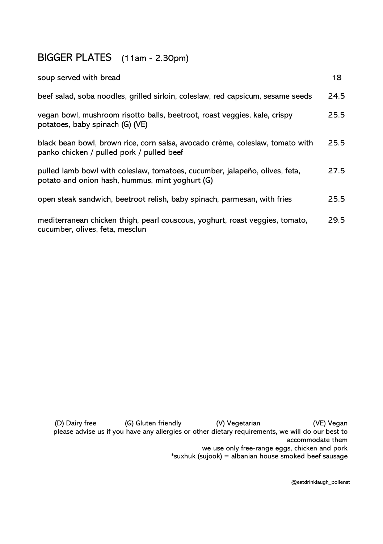## BIGGER PLATES (11am - 2.30pm)

| soup served with bread                                                                                                         | 18   |
|--------------------------------------------------------------------------------------------------------------------------------|------|
| beef salad, soba noodles, grilled sirloin, coleslaw, red capsicum, sesame seeds                                                | 24.5 |
| vegan bowl, mushroom risotto balls, beetroot, roast veggies, kale, crispy<br>potatoes, baby spinach (G) (VE)                   | 25.5 |
| black bean bowl, brown rice, corn salsa, avocado crème, coleslaw, tomato with<br>panko chicken / pulled pork / pulled beef     | 25.5 |
| pulled lamb bowl with coleslaw, tomatoes, cucumber, jalapeño, olives, feta,<br>potato and onion hash, hummus, mint yoghurt (G) | 27.5 |
| open steak sandwich, beetroot relish, baby spinach, parmesan, with fries                                                       | 25.5 |
| mediterranean chicken thigh, pearl couscous, yoghurt, roast veggies, tomato,<br>cucumber, olives, feta, mesclun                | 29.5 |

(D) Dairy free (G) Gluten friendly (V) Vegetarian (VE) Vegan please advise us if you have any allergies or other dietary requirements, we will do our best to accommodate them we use only free-range eggs, chicken and pork

\*suxhuk (sujook) = albanian house smoked beef sausage

@eatdrinklaugh\_pollenst